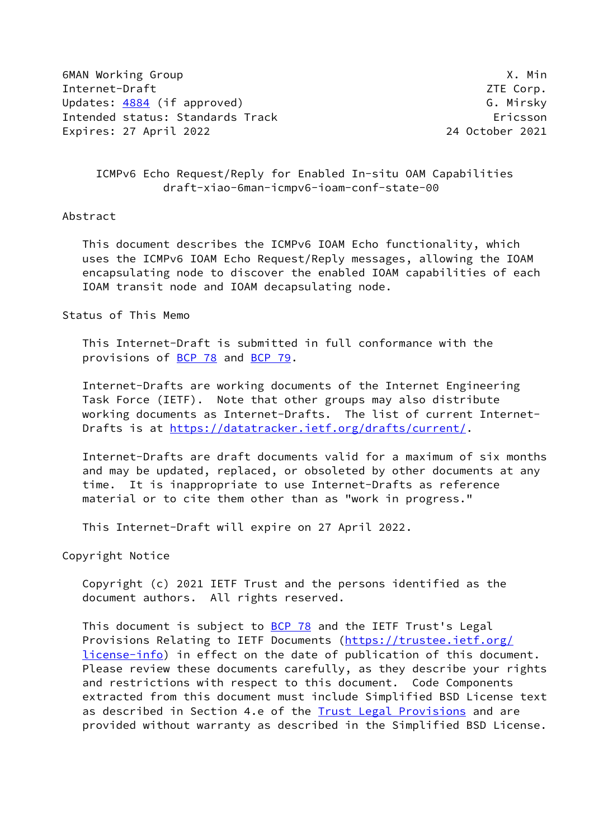6MAN Working Group X. Min Internet-Draft ZTE Corp. Updates: [4884](https://datatracker.ietf.org/doc/pdf/rfc4884) (if approved) example the control of the G. Mirsky Intended status: Standards Track Ericsson Expires: 27 April 2022 24 October 2021

 ICMPv6 Echo Request/Reply for Enabled In-situ OAM Capabilities draft-xiao-6man-icmpv6-ioam-conf-state-00

### Abstract

 This document describes the ICMPv6 IOAM Echo functionality, which uses the ICMPv6 IOAM Echo Request/Reply messages, allowing the IOAM encapsulating node to discover the enabled IOAM capabilities of each IOAM transit node and IOAM decapsulating node.

### Status of This Memo

 This Internet-Draft is submitted in full conformance with the provisions of [BCP 78](https://datatracker.ietf.org/doc/pdf/bcp78) and [BCP 79](https://datatracker.ietf.org/doc/pdf/bcp79).

 Internet-Drafts are working documents of the Internet Engineering Task Force (IETF). Note that other groups may also distribute working documents as Internet-Drafts. The list of current Internet- Drafts is at<https://datatracker.ietf.org/drafts/current/>.

 Internet-Drafts are draft documents valid for a maximum of six months and may be updated, replaced, or obsoleted by other documents at any time. It is inappropriate to use Internet-Drafts as reference material or to cite them other than as "work in progress."

This Internet-Draft will expire on 27 April 2022.

Copyright Notice

 Copyright (c) 2021 IETF Trust and the persons identified as the document authors. All rights reserved.

This document is subject to **[BCP 78](https://datatracker.ietf.org/doc/pdf/bcp78)** and the IETF Trust's Legal Provisions Relating to IETF Documents ([https://trustee.ietf.org/](https://trustee.ietf.org/license-info) [license-info](https://trustee.ietf.org/license-info)) in effect on the date of publication of this document. Please review these documents carefully, as they describe your rights and restrictions with respect to this document. Code Components extracted from this document must include Simplified BSD License text as described in Section 4.e of the [Trust Legal Provisions](https://trustee.ietf.org/license-info) and are provided without warranty as described in the Simplified BSD License.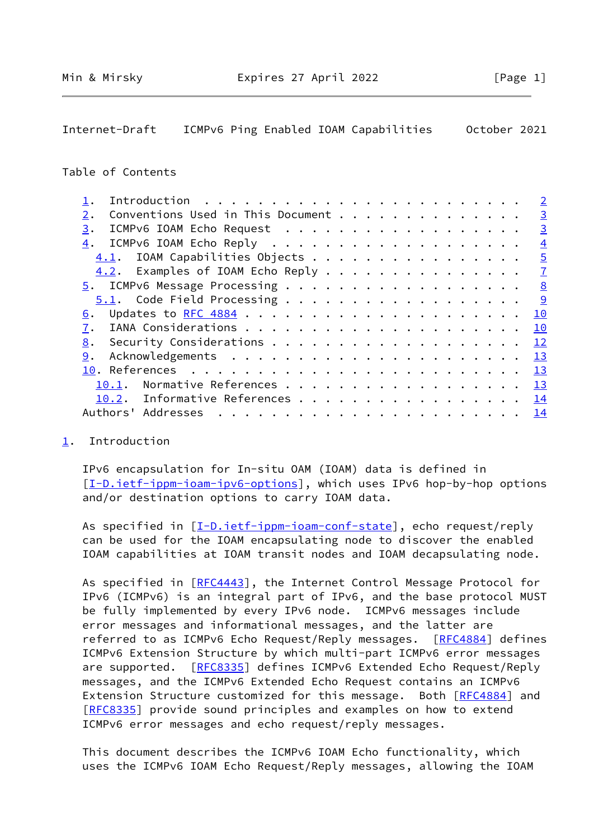<span id="page-1-1"></span>Internet-Draft ICMPv6 Ping Enabled IOAM Capabilities October 2021

#### Table of Contents

|                                         | $\overline{2}$  |
|-----------------------------------------|-----------------|
| Conventions Used in This Document<br>2. | $\overline{3}$  |
| ICMPv6 IOAM Echo Request<br>3.          | $\overline{3}$  |
| 4.                                      | $\overline{4}$  |
| 4.1. IOAM Capabilities Objects          | $\overline{5}$  |
| 4.2. Examples of IOAM Echo Reply        | $\overline{1}$  |
|                                         | 8               |
| 5.1. Code Field Processing              | <u>g</u>        |
| 6.                                      | 10              |
|                                         | 10              |
| 8.                                      | 12              |
| 9.                                      | 13              |
|                                         | $\overline{13}$ |
| 10.1.                                   | 13              |
| 10.2. Informative References            | 14              |
| Addresses<br>Authors'                   | <u>14</u>       |
|                                         |                 |

# <span id="page-1-0"></span>[1](#page-1-0). Introduction

 IPv6 encapsulation for In-situ OAM (IOAM) data is defined in [\[I-D.ietf-ippm-ioam-ipv6-options](#page-14-4)], which uses IPv6 hop-by-hop options and/or destination options to carry IOAM data.

As specified in [\[I-D.ietf-ippm-ioam-conf-state](#page-14-5)], echo request/reply can be used for the IOAM encapsulating node to discover the enabled IOAM capabilities at IOAM transit nodes and IOAM decapsulating node.

As specified in [\[RFC4443](https://datatracker.ietf.org/doc/pdf/rfc4443)], the Internet Control Message Protocol for IPv6 (ICMPv6) is an integral part of IPv6, and the base protocol MUST be fully implemented by every IPv6 node. ICMPv6 messages include error messages and informational messages, and the latter are referred to as ICMPv6 Echo Request/Reply messages. [\[RFC4884](https://datatracker.ietf.org/doc/pdf/rfc4884)] defines ICMPv6 Extension Structure by which multi-part ICMPv6 error messages are supported. [\[RFC8335](https://datatracker.ietf.org/doc/pdf/rfc8335)] defines ICMPv6 Extended Echo Request/Reply messages, and the ICMPv6 Extended Echo Request contains an ICMPv6 Extension Structure customized for this message. Both [\[RFC4884](https://datatracker.ietf.org/doc/pdf/rfc4884)] and [\[RFC8335](https://datatracker.ietf.org/doc/pdf/rfc8335)] provide sound principles and examples on how to extend ICMPv6 error messages and echo request/reply messages.

 This document describes the ICMPv6 IOAM Echo functionality, which uses the ICMPv6 IOAM Echo Request/Reply messages, allowing the IOAM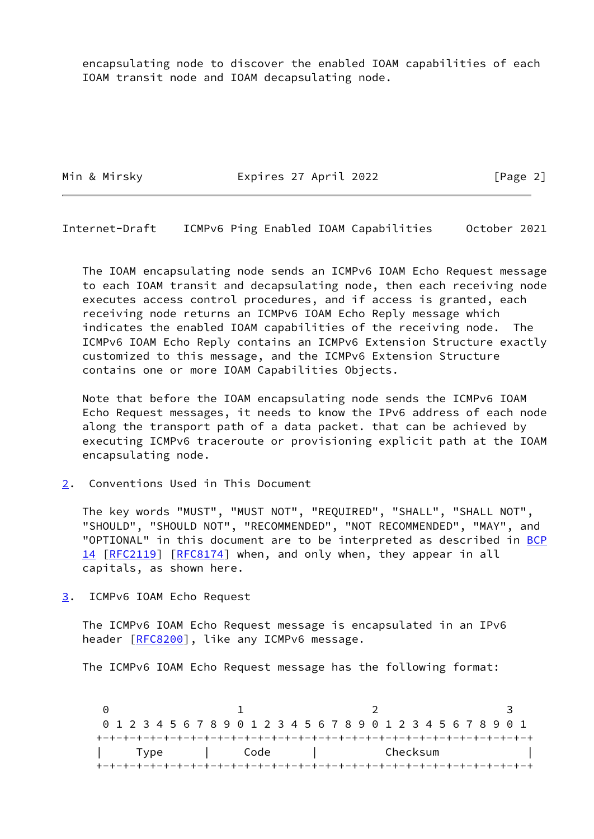encapsulating node to discover the enabled IOAM capabilities of each IOAM transit node and IOAM decapsulating node.

Min & Mirsky **Expires 27 April 2022** [Page 2]

<span id="page-2-1"></span>Internet-Draft ICMPv6 Ping Enabled IOAM Capabilities October 2021

 The IOAM encapsulating node sends an ICMPv6 IOAM Echo Request message to each IOAM transit and decapsulating node, then each receiving node executes access control procedures, and if access is granted, each receiving node returns an ICMPv6 IOAM Echo Reply message which indicates the enabled IOAM capabilities of the receiving node. The ICMPv6 IOAM Echo Reply contains an ICMPv6 Extension Structure exactly customized to this message, and the ICMPv6 Extension Structure contains one or more IOAM Capabilities Objects.

 Note that before the IOAM encapsulating node sends the ICMPv6 IOAM Echo Request messages, it needs to know the IPv6 address of each node along the transport path of a data packet. that can be achieved by executing ICMPv6 traceroute or provisioning explicit path at the IOAM encapsulating node.

<span id="page-2-0"></span>[2](#page-2-0). Conventions Used in This Document

 The key words "MUST", "MUST NOT", "REQUIRED", "SHALL", "SHALL NOT", "SHOULD", "SHOULD NOT", "RECOMMENDED", "NOT RECOMMENDED", "MAY", and "OPTIONAL" in this document are to be interpreted as described in [BCP](https://datatracker.ietf.org/doc/pdf/bcp14) [14](https://datatracker.ietf.org/doc/pdf/bcp14) [[RFC2119\]](https://datatracker.ietf.org/doc/pdf/rfc2119) [\[RFC8174](https://datatracker.ietf.org/doc/pdf/rfc8174)] when, and only when, they appear in all capitals, as shown here.

<span id="page-2-2"></span>[3](#page-2-2). ICMPv6 IOAM Echo Request

 The ICMPv6 IOAM Echo Request message is encapsulated in an IPv6 header [\[RFC8200](https://datatracker.ietf.org/doc/pdf/rfc8200)], like any ICMPv6 message.

The ICMPv6 IOAM Echo Request message has the following format:

0 1 2 3 0 1 2 3 4 5 6 7 8 9 0 1 2 3 4 5 6 7 8 9 0 1 2 3 4 5 6 7 8 9 0 1 +-+-+-+-+-+-+-+-+-+-+-+-+-+-+-+-+-+-+-+-+-+-+-+-+-+-+-+-+-+-+-+-+ | Type | Code | Checksum | +-+-+-+-+-+-+-+-+-+-+-+-+-+-+-+-+-+-+-+-+-+-+-+-+-+-+-+-+-+-+-+-+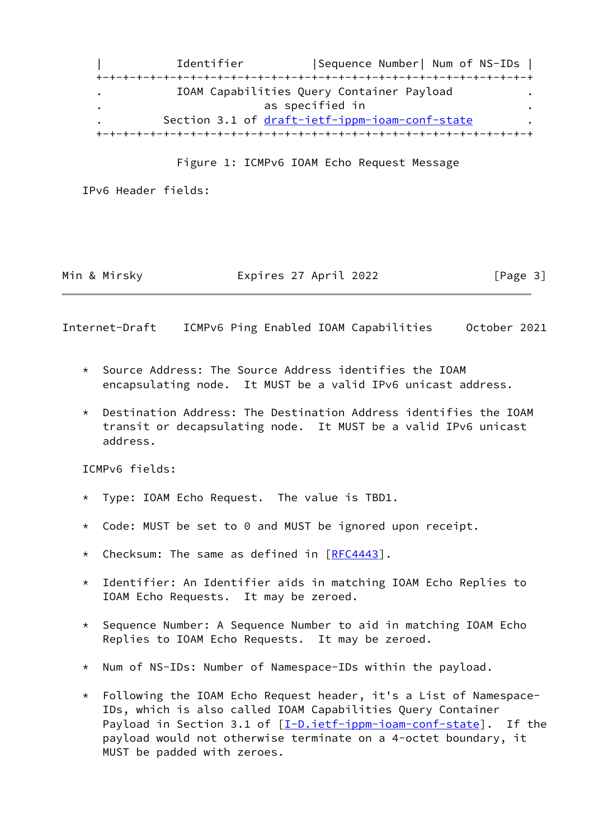| Identifier |Sequence Number| Num of NS-IDs | +-+-+-+-+-+-+-+-+-+-+-+-+-+-+-+-+-+-+-+-+-+-+-+-+-+-+-+-+-+-+-+-+ . IOAM Capabilities Query Container Payload . as specified in . Section 3.1 of [draft-ietf-ippm-ioam-conf-state](https://datatracker.ietf.org/doc/pdf/draft-ietf-ippm-ioam-conf-state) . +-+-+-+-+-+-+-+-+-+-+-+-+-+-+-+-+-+-+-+-+-+-+-+-+-+-+-+-+-+-+-+-+

Figure 1: ICMPv6 IOAM Echo Request Message

IPv6 Header fields:

Min & Mirsky **Expires 27 April 2022** [Page 3]

<span id="page-3-0"></span>Internet-Draft ICMPv6 Ping Enabled IOAM Capabilities October 2021

- \* Source Address: The Source Address identifies the IOAM encapsulating node. It MUST be a valid IPv6 unicast address.
- \* Destination Address: The Destination Address identifies the IOAM transit or decapsulating node. It MUST be a valid IPv6 unicast address.

ICMPv6 fields:

- \* Type: IOAM Echo Request. The value is TBD1.
- \* Code: MUST be set to 0 and MUST be ignored upon receipt.
- \* Checksum: The same as defined in [\[RFC4443](https://datatracker.ietf.org/doc/pdf/rfc4443)].
- \* Identifier: An Identifier aids in matching IOAM Echo Replies to IOAM Echo Requests. It may be zeroed.
- \* Sequence Number: A Sequence Number to aid in matching IOAM Echo Replies to IOAM Echo Requests. It may be zeroed.
- \* Num of NS-IDs: Number of Namespace-IDs within the payload.
- $*$  Following the IOAM Echo Request header, it's a List of Namespace- IDs, which is also called IOAM Capabilities Query Container Payload in Section 3.1 of  $[I-D.iett-ippm-ioam-conf-state]$ . If the payload would not otherwise terminate on a 4-octet boundary, it MUST be padded with zeroes.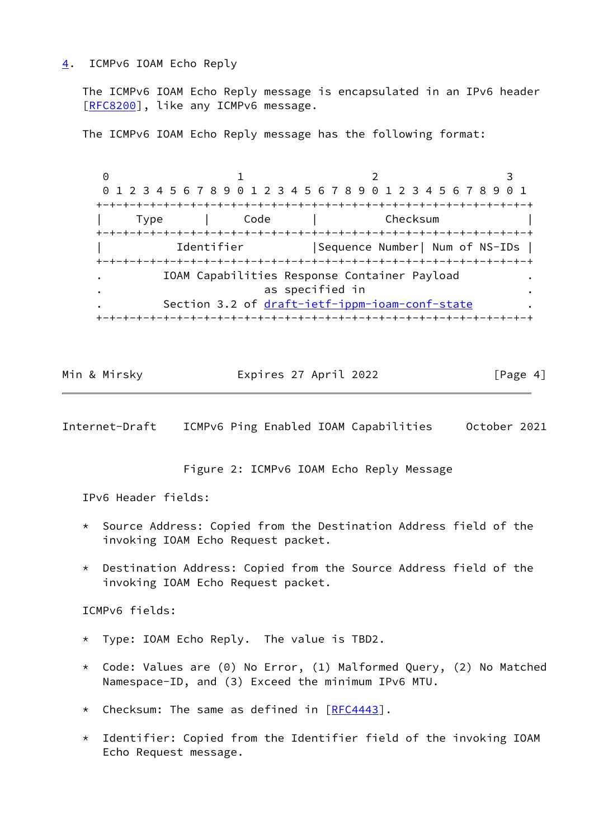### <span id="page-4-0"></span>[4](#page-4-0). ICMPv6 IOAM Echo Reply

 The ICMPv6 IOAM Echo Reply message is encapsulated in an IPv6 header [\[RFC8200](https://datatracker.ietf.org/doc/pdf/rfc8200)], like any ICMPv6 message.

The ICMPv6 IOAM Echo Reply message has the following format:

0 1 2 3 0 1 2 3 4 5 6 7 8 9 0 1 2 3 4 5 6 7 8 9 0 1 2 3 4 5 6 7 8 9 0 1 +-+-+-+-+-+-+-+-+-+-+-+-+-+-+-+-+-+-+-+-+-+-+-+-+-+-+-+-+-+-+-+-+ | Type | Code | Checksum | +-+-+-+-+-+-+-+-+-+-+-+-+-+-+-+-+-+-+-+-+-+-+-+-+-+-+-+-+-+-+-+-+ | Identifier |Sequence Number| Num of NS-IDs | +-+-+-+-+-+-+-+-+-+-+-+-+-+-+-+-+-+-+-+-+-+-+-+-+-+-+-+-+-+-+-+-+ . IOAM Capabilities Response Container Payload . as specified in Section 3.2 of [draft-ietf-ippm-ioam-conf-state](https://datatracker.ietf.org/doc/pdf/draft-ietf-ippm-ioam-conf-state) +-+-+-+-+-+-+-+-+-+-+-+-+-+-+-+-+-+-+-+-+-+-+-+-+-+-+-+-+-+-+-+-+

Min & Mirsky Expires 27 April 2022 [Page 4]

<span id="page-4-1"></span>Internet-Draft ICMPv6 Ping Enabled IOAM Capabilities October 2021

Figure 2: ICMPv6 IOAM Echo Reply Message

IPv6 Header fields:

- Source Address: Copied from the Destination Address field of the invoking IOAM Echo Request packet.
- \* Destination Address: Copied from the Source Address field of the invoking IOAM Echo Request packet.

ICMPv6 fields:

- \* Type: IOAM Echo Reply. The value is TBD2.
- \* Code: Values are (0) No Error, (1) Malformed Query, (2) No Matched Namespace-ID, and (3) Exceed the minimum IPv6 MTU.
- \* Checksum: The same as defined in [\[RFC4443](https://datatracker.ietf.org/doc/pdf/rfc4443)].
- \* Identifier: Copied from the Identifier field of the invoking IOAM Echo Request message.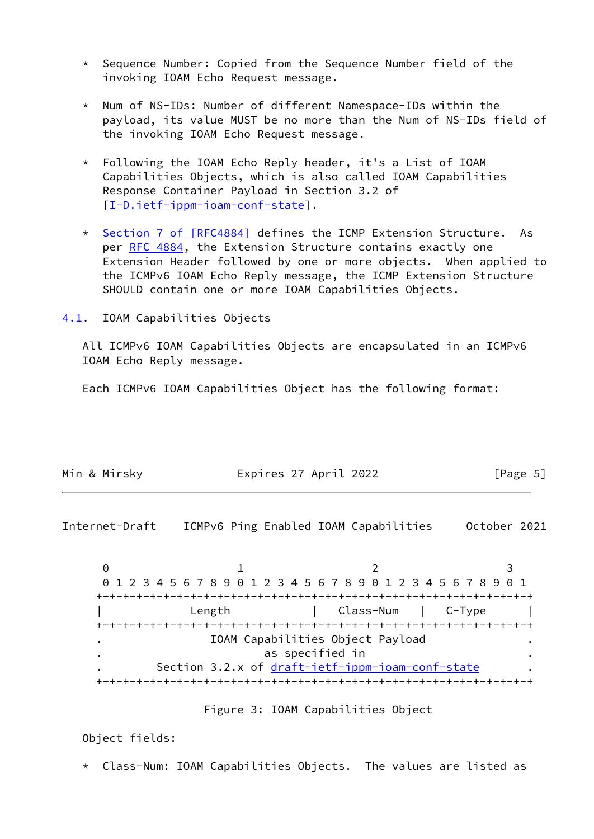- \* Sequence Number: Copied from the Sequence Number field of the invoking IOAM Echo Request message.
- \* Num of NS-IDs: Number of different Namespace-IDs within the payload, its value MUST be no more than the Num of NS-IDs field of the invoking IOAM Echo Request message.
- \* Following the IOAM Echo Reply header, it's a List of IOAM Capabilities Objects, which is also called IOAM Capabilities Response Container Payload in Section 3.2 of [[I-D.ietf-ippm-ioam-conf-state\]](#page-14-5).
- \* Section [7 of \[RFC4884\]](https://datatracker.ietf.org/doc/pdf/rfc4884#section-7) defines the ICMP Extension Structure. As per [RFC 4884,](https://datatracker.ietf.org/doc/pdf/rfc4884) the Extension Structure contains exactly one Extension Header followed by one or more objects. When applied to the ICMPv6 IOAM Echo Reply message, the ICMP Extension Structure SHOULD contain one or more IOAM Capabilities Objects.

<span id="page-5-0"></span>[4.1](#page-5-0). IOAM Capabilities Objects

 All ICMPv6 IOAM Capabilities Objects are encapsulated in an ICMPv6 IOAM Echo Reply message.

Each ICMPv6 IOAM Capabilities Object has the following format:

| Min & Mirsky | Expires 27 April 2022 | [Page 5] |
|--------------|-----------------------|----------|
|              |                       |          |

Internet-Draft ICMPv6 Ping Enabled IOAM Capabilities October 2021

 $0$  1 2 3 0 1 2 3 4 5 6 7 8 9 0 1 2 3 4 5 6 7 8 9 0 1 2 3 4 5 6 7 8 9 0 1 +-+-+-+-+-+-+-+-+-+-+-+-+-+-+-+-+-+-+-+-+-+-+-+-+-+-+-+-+-+-+-+-+ Length | Class-Num | C-Type | +-+-+-+-+-+-+-+-+-+-+-+-+-+-+-+-+-+-+-+-+-+-+-+-+-+-+-+-+-+-+-+-+ . IOAM Capabilities Object Payload . . as specified in . Section 3.2.x of draft-ietf-ippm-ioam-conf-state +-+-+-+-+-+-+-+-+-+-+-+-+-+-+-+-+-+-+-+-+-+-+-+-+-+-+-+-+-+-+-+-+

#### Figure 3: IOAM Capabilities Object

Object fields:

\* Class-Num: IOAM Capabilities Objects. The values are listed as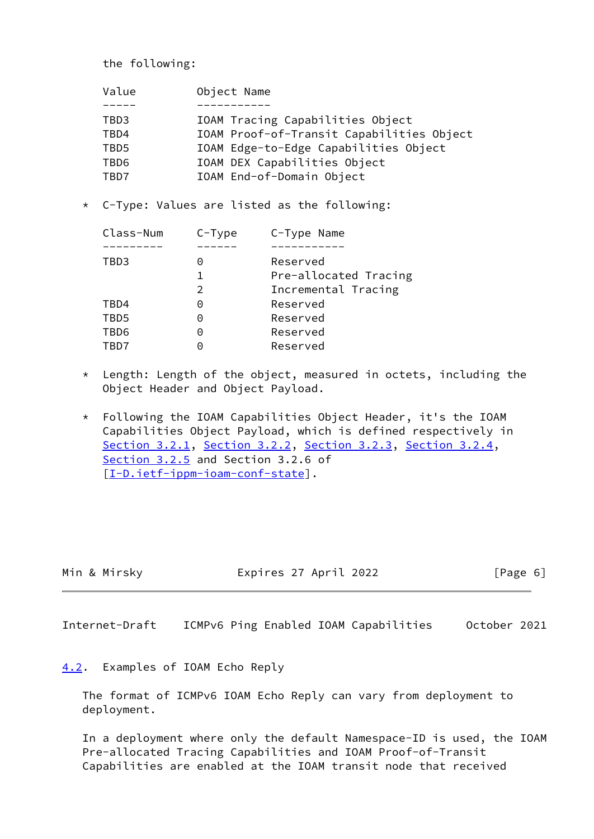the following:

| Value | Object Name                               |
|-------|-------------------------------------------|
|       |                                           |
| TBD3  | IOAM Tracing Capabilities Object          |
| TBD4  | IOAM Proof-of-Transit Capabilities Object |
| TBD5  | IOAM Edge-to-Edge Capabilities Object     |
| TBD6  | IOAM DEX Capabilities Object              |
| TBD7  | IOAM End-of-Domain Object                 |
|       |                                           |

\* C-Type: Values are listed as the following:

| Class-Num | $C-Type$ | C-Type Name           |
|-----------|----------|-----------------------|
|           |          |                       |
| TBD3      | 0        | Reserved              |
|           |          | Pre-allocated Tracing |
|           | 2        | Incremental Tracing   |
| TBD4      | Θ        | Reserved              |
| TBD5      | 0        | Reserved              |
| TBD6      | 0        | Reserved              |
| TRD7      |          | Reserved              |

- \* Length: Length of the object, measured in octets, including the Object Header and Object Payload.
- \* Following the IOAM Capabilities Object Header, it's the IOAM Capabilities Object Payload, which is defined respectively in Section 3.2.1, Section 3.2.2, Section 3.2.3, Section 3.2.4, Section 3.2.5 and Section 3.2.6 of [[I-D.ietf-ippm-ioam-conf-state\]](#page-14-5).

| Min & Mirsky |  |  |  |
|--------------|--|--|--|
|--------------|--|--|--|

Expires 27 April 2022 [Page 6]

<span id="page-6-1"></span>Internet-Draft ICMPv6 Ping Enabled IOAM Capabilities October 2021

# <span id="page-6-0"></span>[4.2](#page-6-0). Examples of IOAM Echo Reply

 The format of ICMPv6 IOAM Echo Reply can vary from deployment to deployment.

 In a deployment where only the default Namespace-ID is used, the IOAM Pre-allocated Tracing Capabilities and IOAM Proof-of-Transit Capabilities are enabled at the IOAM transit node that received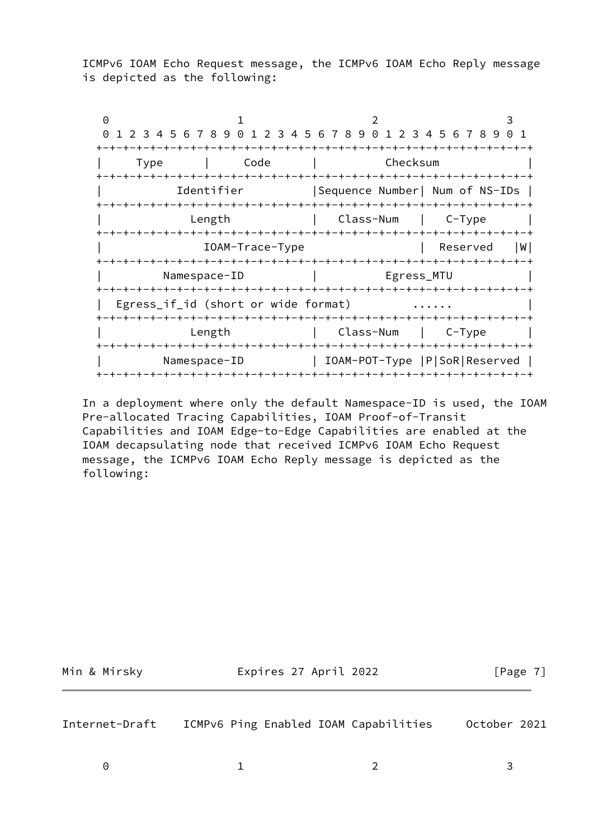ICMPv6 IOAM Echo Request message, the ICMPv6 IOAM Echo Reply message is depicted as the following:

0 1 2 3 0 1 2 3 4 5 6 7 8 9 0 1 2 3 4 5 6 7 8 9 0 1 2 3 4 5 6 7 8 9 0 1 +-+-+-+-+-+-+-+-+-+-+-+-+-+-+-+-+-+-+-+-+-+-+-+-+-+-+-+-+-+-+-+-+ | Type | Code | Checksum | +-+-+-+-+-+-+-+-+-+-+-+-+-+-+-+-+-+-+-+-+-+-+-+-+-+-+-+-+-+-+-+-+ | Identifier |Sequence Number| Num of NS-IDs | +-+-+-+-+-+-+-+-+-+-+-+-+-+-+-+-+-+-+-+-+-+-+-+-+-+-+-+-+-+-+-+-+ Length | Class-Num | C-Type | +-+-+-+-+-+-+-+-+-+-+-+-+-+-+-+-+-+-+-+-+-+-+-+-+-+-+-+-+-+-+-+-+ | IOAM-Trace-Type | Reserved |W| +-+-+-+-+-+-+-+-+-+-+-+-+-+-+-+-+-+-+-+-+-+-+-+-+-+-+-+-+-+-+-+-+ Namespace-ID | Egress\_MTU +-+-+-+-+-+-+-+-+-+-+-+-+-+-+-+-+-+-+-+-+-+-+-+-+-+-+-+-+-+-+-+-+ | Egress\_if\_id (short or wide format)  $\dots \dots$  +-+-+-+-+-+-+-+-+-+-+-+-+-+-+-+-+-+-+-+-+-+-+-+-+-+-+-+-+-+-+-+-+ Length | Class-Num | C-Type | +-+-+-+-+-+-+-+-+-+-+-+-+-+-+-+-+-+-+-+-+-+-+-+-+-+-+-+-+-+-+-+-+ | Namespace-ID | IOAM-POT-Type |P|SoR|Reserved | +-+-+-+-+-+-+-+-+-+-+-+-+-+-+-+-+-+-+-+-+-+-+-+-+-+-+-+-+-+-+-+-+

 In a deployment where only the default Namespace-ID is used, the IOAM Pre-allocated Tracing Capabilities, IOAM Proof-of-Transit Capabilities and IOAM Edge-to-Edge Capabilities are enabled at the IOAM decapsulating node that received ICMPv6 IOAM Echo Request message, the ICMPv6 IOAM Echo Reply message is depicted as the following:

| Min & Mirsky |  |  |
|--------------|--|--|
|              |  |  |

Expires 27 April 2022 [Page 7]

<span id="page-7-0"></span>Internet-Draft ICMPv6 Ping Enabled IOAM Capabilities October 2021

0 1 2 3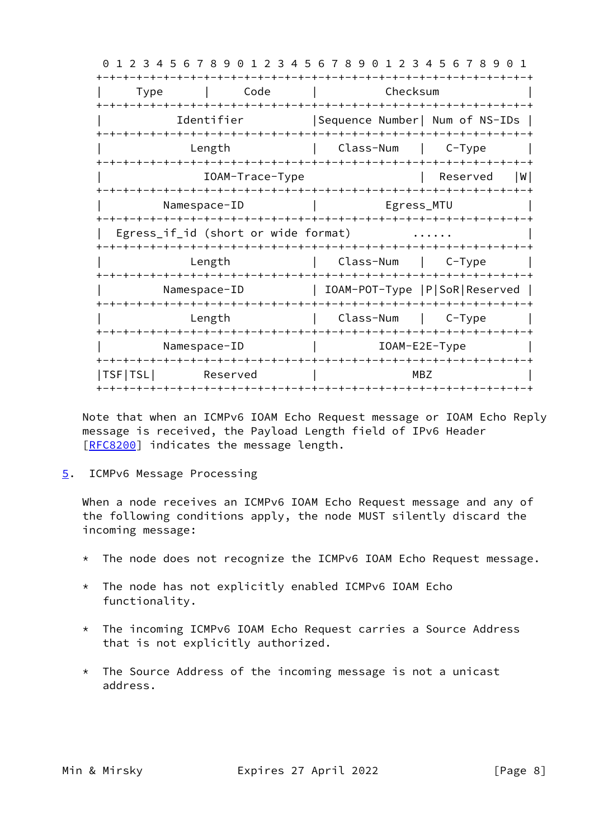0 1 2 3 4 5 6 7 8 9 0 1 2 3 4 5 6 7 8 9 0 1 2 3 4 5 6 7 8 9 0 1 +-+-+-+-+-+-+-+-+-+-+-+-+-+-+-+-+-+-+-+-+-+-+-+-+-+-+-+-+-+-+-+-+ | Type | Code | Checksum | +-+-+-+-+-+-+-+-+-+-+-+-+-+-+-+-+-+-+-+-+-+-+-+-+-+-+-+-+-+-+-+-+ | Identifier |Sequence Number| Num of NS-IDs | +-+-+-+-+-+-+-+-+-+-+-+-+-+-+-+-+-+-+-+-+-+-+-+-+-+-+-+-+-+-+-+-+ Length | Class-Num | C-Type | +-+-+-+-+-+-+-+-+-+-+-+-+-+-+-+-+-+-+-+-+-+-+-+-+-+-+-+-+-+-+-+-+ | IOAM-Trace-Type | Reserved |W| +-+-+-+-+-+-+-+-+-+-+-+-+-+-+-+-+-+-+-+-+-+-+-+-+-+-+-+-+-+-+-+-+ Namespace-ID | Egress\_MTU +-+-+-+-+-+-+-+-+-+-+-+-+-+-+-+-+-+-+-+-+-+-+-+-+-+-+-+-+-+-+-+-+ | Egress if id (short or wide format) ...... +-+-+-+-+-+-+-+-+-+-+-+-+-+-+-+-+-+-+-+-+-+-+-+-+-+-+-+-+-+-+-+-+ Length | Class-Num | C-Type | +-+-+-+-+-+-+-+-+-+-+-+-+-+-+-+-+-+-+-+-+-+-+-+-+-+-+-+-+-+-+-+-+ | Namespace-ID | IOAM-POT-Type |P|SoR|Reserved | +-+-+-+-+-+-+-+-+-+-+-+-+-+-+-+-+-+-+-+-+-+-+-+-+-+-+-+-+-+-+-+-+ | Length | Class-Num | C-Type | +-+-+-+-+-+-+-+-+-+-+-+-+-+-+-+-+-+-+-+-+-+-+-+-+-+-+-+-+-+-+-+-+ Namespace-ID | IOAM-E2E-Type +-+-+-+-+-+-+-+-+-+-+-+-+-+-+-+-+-+-+-+-+-+-+-+-+-+-+-+-+-+-+-+-+ |TSF|TSL| Reserved | MBZ +-+-+-+-+-+-+-+-+-+-+-+-+-+-+-+-+-+-+-+-+-+-+-+-+-+-+-+-+-+-+-+-+

 Note that when an ICMPv6 IOAM Echo Request message or IOAM Echo Reply message is received, the Payload Length field of IPv6 Header [\[RFC8200](https://datatracker.ietf.org/doc/pdf/rfc8200)] indicates the message length.

<span id="page-8-0"></span>[5](#page-8-0). ICMPv6 Message Processing

 When a node receives an ICMPv6 IOAM Echo Request message and any of the following conditions apply, the node MUST silently discard the incoming message:

- \* The node does not recognize the ICMPv6 IOAM Echo Request message.
- \* The node has not explicitly enabled ICMPv6 IOAM Echo functionality.
- \* The incoming ICMPv6 IOAM Echo Request carries a Source Address that is not explicitly authorized.
- \* The Source Address of the incoming message is not a unicast address.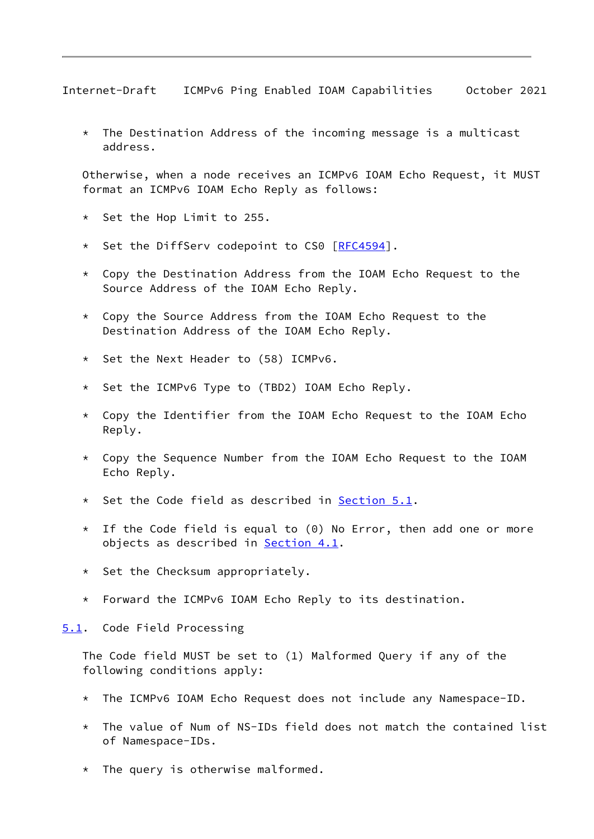<span id="page-9-1"></span>Internet-Draft ICMPv6 Ping Enabled IOAM Capabilities October 2021

 \* The Destination Address of the incoming message is a multicast address.

 Otherwise, when a node receives an ICMPv6 IOAM Echo Request, it MUST format an ICMPv6 IOAM Echo Reply as follows:

- \* Set the Hop Limit to 255.
- \* Set the DiffServ codepoint to CS0 [\[RFC4594](https://datatracker.ietf.org/doc/pdf/rfc4594)].
- \* Copy the Destination Address from the IOAM Echo Request to the Source Address of the IOAM Echo Reply.
- \* Copy the Source Address from the IOAM Echo Request to the Destination Address of the IOAM Echo Reply.
- \* Set the Next Header to (58) ICMPv6.
- \* Set the ICMPv6 Type to (TBD2) IOAM Echo Reply.
- $*$  Copy the Identifier from the IOAM Echo Request to the IOAM Echo Reply.
- Copy the Sequence Number from the IOAM Echo Request to the IOAM Echo Reply.
- \* Set the Code field as described in [Section 5.1](#page-9-0).
- \* If the Code field is equal to (0) No Error, then add one or more objects as described in [Section 4.1](#page-5-0).
- \* Set the Checksum appropriately.
- \* Forward the ICMPv6 IOAM Echo Reply to its destination.

<span id="page-9-0"></span>[5.1](#page-9-0). Code Field Processing

 The Code field MUST be set to (1) Malformed Query if any of the following conditions apply:

- \* The ICMPv6 IOAM Echo Request does not include any Namespace-ID.
- The value of Num of NS-IDs field does not match the contained list of Namespace-IDs.
- \* The query is otherwise malformed.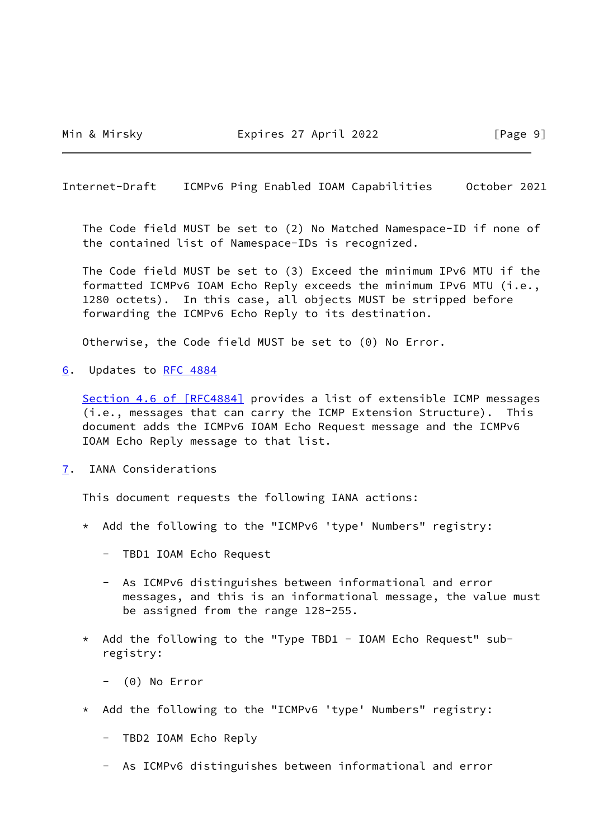<span id="page-10-1"></span>Internet-Draft ICMPv6 Ping Enabled IOAM Capabilities October 2021

 The Code field MUST be set to (2) No Matched Namespace-ID if none of the contained list of Namespace-IDs is recognized.

 The Code field MUST be set to (3) Exceed the minimum IPv6 MTU if the formatted ICMPv6 IOAM Echo Reply exceeds the minimum IPv6 MTU (i.e., 1280 octets). In this case, all objects MUST be stripped before forwarding the ICMPv6 Echo Reply to its destination.

Otherwise, the Code field MUST be set to (0) No Error.

<span id="page-10-0"></span>[6](#page-10-0). Updates to [RFC 4884](https://datatracker.ietf.org/doc/pdf/rfc4884)

Section [4.6 of \[RFC4884\]](https://datatracker.ietf.org/doc/pdf/rfc4884#section-4.6) provides a list of extensible ICMP messages (i.e., messages that can carry the ICMP Extension Structure). This document adds the ICMPv6 IOAM Echo Request message and the ICMPv6 IOAM Echo Reply message to that list.

<span id="page-10-2"></span>[7](#page-10-2). IANA Considerations

This document requests the following IANA actions:

- \* Add the following to the "ICMPv6 'type' Numbers" registry:
	- TBD1 IOAM Echo Request
	- As ICMPv6 distinguishes between informational and error messages, and this is an informational message, the value must be assigned from the range 128-255.
- \* Add the following to the "Type TBD1 IOAM Echo Request" sub registry:
	- (0) No Error
- \* Add the following to the "ICMPv6 'type' Numbers" registry:
	- TBD2 IOAM Echo Reply
	- As ICMPv6 distinguishes between informational and error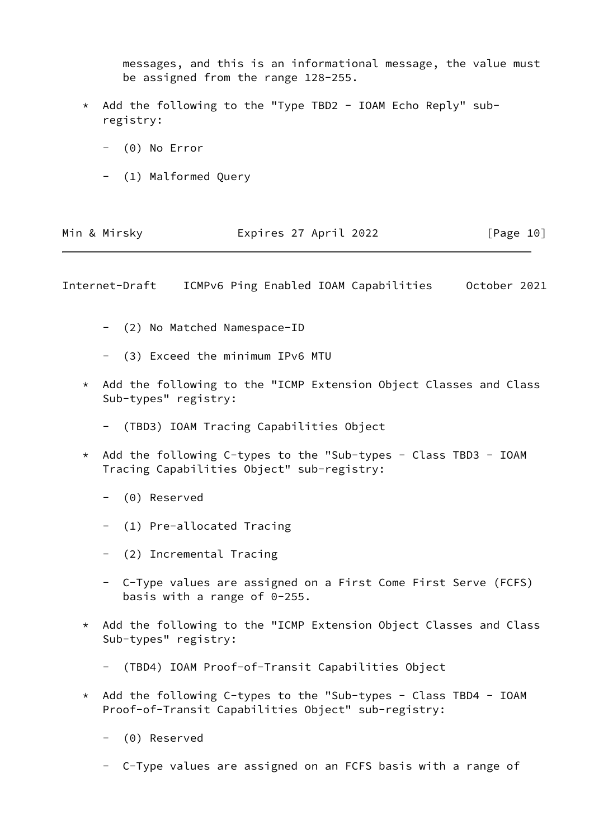messages, and this is an informational message, the value must be assigned from the range 128-255.

- \* Add the following to the "Type TBD2 IOAM Echo Reply" sub registry:
	- (0) No Error
	- (1) Malformed Query

| Min & Mirsky | Expires 27 April 2022 | [Page 10] |
|--------------|-----------------------|-----------|
|              |                       |           |

Internet-Draft ICMPv6 Ping Enabled IOAM Capabilities October 2021

- (2) No Matched Namespace-ID
- (3) Exceed the minimum IPv6 MTU
- \* Add the following to the "ICMP Extension Object Classes and Class Sub-types" registry:
	- (TBD3) IOAM Tracing Capabilities Object
- Add the following C-types to the "Sub-types Class TBD3 IOAM Tracing Capabilities Object" sub-registry:
	- (0) Reserved
	- (1) Pre-allocated Tracing
	- (2) Incremental Tracing
	- C-Type values are assigned on a First Come First Serve (FCFS) basis with a range of 0-255.
- \* Add the following to the "ICMP Extension Object Classes and Class Sub-types" registry:
	- (TBD4) IOAM Proof-of-Transit Capabilities Object
- \* Add the following C-types to the "Sub-types Class TBD4 IOAM Proof-of-Transit Capabilities Object" sub-registry:
	- (0) Reserved
	- C-Type values are assigned on an FCFS basis with a range of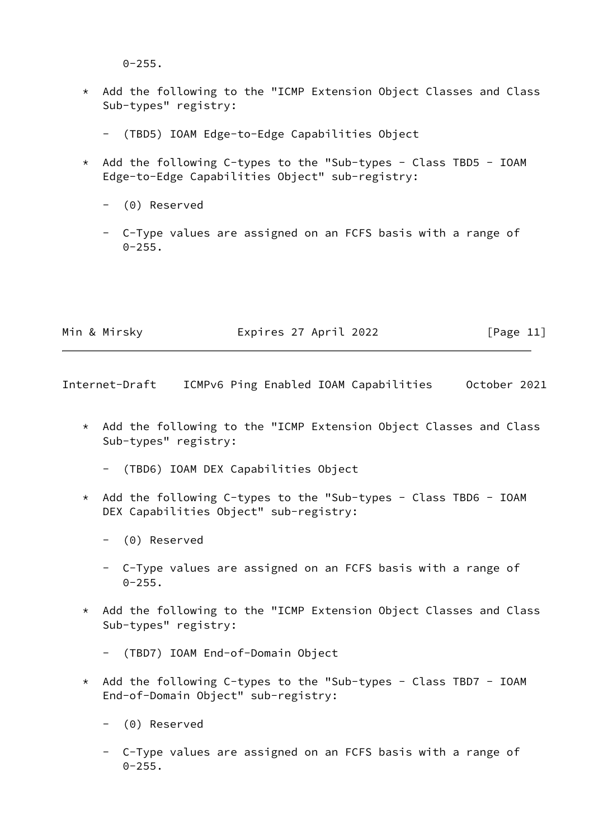$0 - 255$ .

- \* Add the following to the "ICMP Extension Object Classes and Class Sub-types" registry:
	- (TBD5) IOAM Edge-to-Edge Capabilities Object
- \* Add the following C-types to the "Sub-types Class TBD5 IOAM Edge-to-Edge Capabilities Object" sub-registry:
	- (0) Reserved
	- C-Type values are assigned on an FCFS basis with a range of  $0 - 255$ .

| Min & Mirsky | Expires 27 April 2022 | [Page 11] |
|--------------|-----------------------|-----------|
|              |                       |           |

<span id="page-12-0"></span>Internet-Draft ICMPv6 Ping Enabled IOAM Capabilities October 2021

 \* Add the following to the "ICMP Extension Object Classes and Class Sub-types" registry:

- (TBD6) IOAM DEX Capabilities Object

- \* Add the following C-types to the "Sub-types Class TBD6 IOAM DEX Capabilities Object" sub-registry:
	- (0) Reserved
	- C-Type values are assigned on an FCFS basis with a range of  $0 - 255$ .
- \* Add the following to the "ICMP Extension Object Classes and Class Sub-types" registry:
	- (TBD7) IOAM End-of-Domain Object
- \* Add the following C-types to the "Sub-types Class TBD7 IOAM End-of-Domain Object" sub-registry:
	- (0) Reserved
	- C-Type values are assigned on an FCFS basis with a range of  $0 - 255.$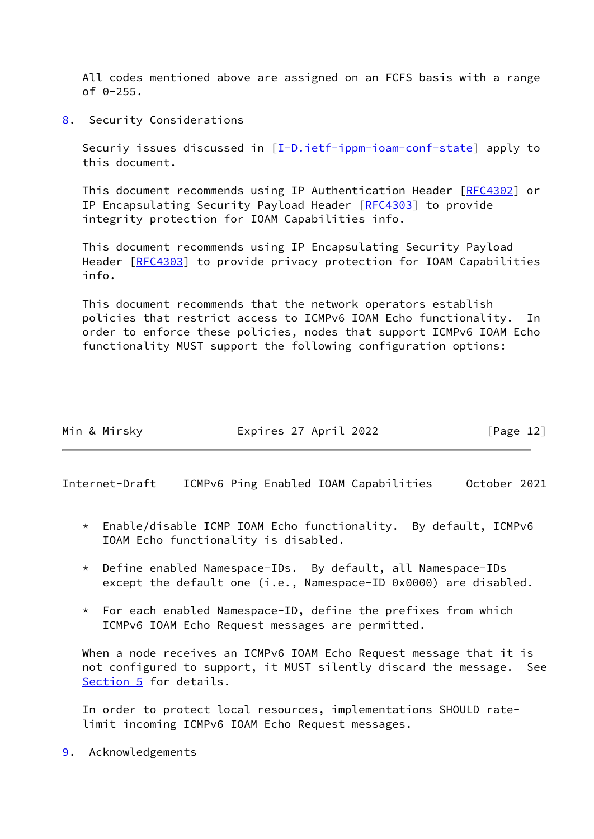All codes mentioned above are assigned on an FCFS basis with a range  $of 0-255.$ 

<span id="page-13-0"></span>[8](#page-13-0). Security Considerations

Securiy issues discussed in [\[I-D.ietf-ippm-ioam-conf-state](#page-14-5)] apply to this document.

 This document recommends using IP Authentication Header [\[RFC4302](https://datatracker.ietf.org/doc/pdf/rfc4302)] or IP Encapsulating Security Payload Header [\[RFC4303](https://datatracker.ietf.org/doc/pdf/rfc4303)] to provide integrity protection for IOAM Capabilities info.

 This document recommends using IP Encapsulating Security Payload Header [\[RFC4303](https://datatracker.ietf.org/doc/pdf/rfc4303)] to provide privacy protection for IOAM Capabilities info.

 This document recommends that the network operators establish policies that restrict access to ICMPv6 IOAM Echo functionality. In order to enforce these policies, nodes that support ICMPv6 IOAM Echo functionality MUST support the following configuration options:

| Min & Mirsky | Expires 27 April 2022 | [Page 12] |
|--------------|-----------------------|-----------|
|              |                       |           |

<span id="page-13-2"></span>Internet-Draft ICMPv6 Ping Enabled IOAM Capabilities October 2021

- \* Enable/disable ICMP IOAM Echo functionality. By default, ICMPv6 IOAM Echo functionality is disabled.
- \* Define enabled Namespace-IDs. By default, all Namespace-IDs except the default one (i.e., Namespace-ID 0x0000) are disabled.
- \* For each enabled Namespace-ID, define the prefixes from which ICMPv6 IOAM Echo Request messages are permitted.

 When a node receives an ICMPv6 IOAM Echo Request message that it is not configured to support, it MUST silently discard the message. See [Section 5](#page-8-0) for details.

 In order to protect local resources, implementations SHOULD rate limit incoming ICMPv6 IOAM Echo Request messages.

<span id="page-13-1"></span>[9](#page-13-1). Acknowledgements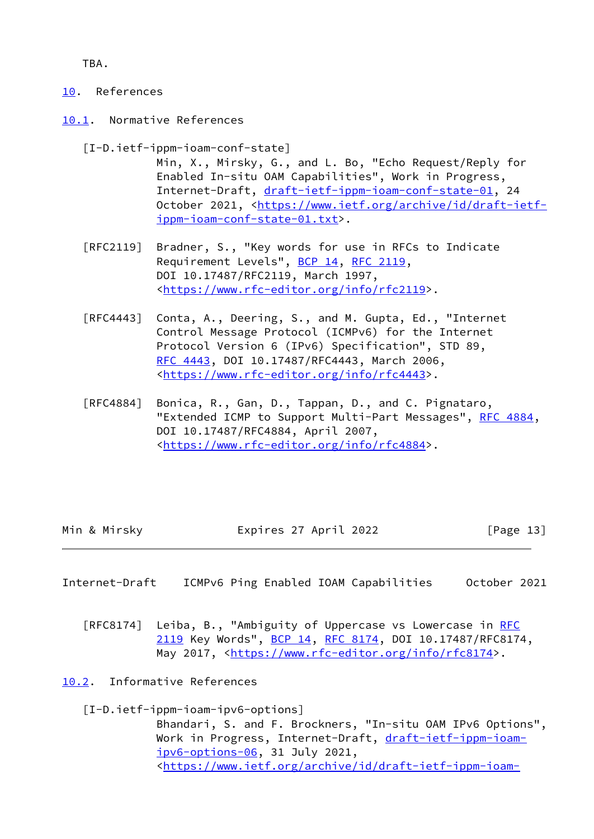TBA.

- <span id="page-14-0"></span>[10.](#page-14-0) References
- <span id="page-14-1"></span>[10.1](#page-14-1). Normative References

<span id="page-14-5"></span>[I-D.ietf-ippm-ioam-conf-state]

- Min, X., Mirsky, G., and L. Bo, "Echo Request/Reply for Enabled In-situ OAM Capabilities", Work in Progress, Internet-Draft, [draft-ietf-ippm-ioam-conf-state-01,](https://datatracker.ietf.org/doc/pdf/draft-ietf-ippm-ioam-conf-state-01) 24 October 2021, [<https://www.ietf.org/archive/id/draft-ietf](https://www.ietf.org/archive/id/draft-ietf-ippm-ioam-conf-state-01.txt) [ippm-ioam-conf-state-01.txt](https://www.ietf.org/archive/id/draft-ietf-ippm-ioam-conf-state-01.txt)>.
- [RFC2119] Bradner, S., "Key words for use in RFCs to Indicate Requirement Levels", [BCP 14](https://datatracker.ietf.org/doc/pdf/bcp14), [RFC 2119](https://datatracker.ietf.org/doc/pdf/rfc2119), DOI 10.17487/RFC2119, March 1997, <[https://www.rfc-editor.org/info/rfc2119>](https://www.rfc-editor.org/info/rfc2119).
- [RFC4443] Conta, A., Deering, S., and M. Gupta, Ed., "Internet Control Message Protocol (ICMPv6) for the Internet Protocol Version 6 (IPv6) Specification", STD 89, [RFC 4443,](https://datatracker.ietf.org/doc/pdf/rfc4443) DOI 10.17487/RFC4443, March 2006, <[https://www.rfc-editor.org/info/rfc4443>](https://www.rfc-editor.org/info/rfc4443).
- [RFC4884] Bonica, R., Gan, D., Tappan, D., and C. Pignataro, "Extended ICMP to Support Multi-Part Messages", [RFC 4884,](https://datatracker.ietf.org/doc/pdf/rfc4884) DOI 10.17487/RFC4884, April 2007, <[https://www.rfc-editor.org/info/rfc4884>](https://www.rfc-editor.org/info/rfc4884).

| Min & Mirsky | Expires 27 April 2022 | [Page 13] |
|--------------|-----------------------|-----------|
|              |                       |           |

- <span id="page-14-3"></span>Internet-Draft ICMPv6 Ping Enabled IOAM Capabilities October 2021
	- [RFC8174] Leiba, B., "Ambiguity of Uppercase vs Lowercase in [RFC](https://datatracker.ietf.org/doc/pdf/rfc2119) [2119](https://datatracker.ietf.org/doc/pdf/rfc2119) Key Words", [BCP 14](https://datatracker.ietf.org/doc/pdf/bcp14), [RFC 8174,](https://datatracker.ietf.org/doc/pdf/rfc8174) DOI 10.17487/RFC8174, May 2017, [<https://www.rfc-editor.org/info/rfc8174](https://www.rfc-editor.org/info/rfc8174)>.
- <span id="page-14-2"></span>[10.2](#page-14-2). Informative References

<span id="page-14-4"></span> [I-D.ietf-ippm-ioam-ipv6-options] Bhandari, S. and F. Brockners, "In-situ OAM IPv6 Options", Work in Progress, Internet-Draft, [draft-ietf-ippm-ioam](https://datatracker.ietf.org/doc/pdf/draft-ietf-ippm-ioam-ipv6-options-06) [ipv6-options-06](https://datatracker.ietf.org/doc/pdf/draft-ietf-ippm-ioam-ipv6-options-06), 31 July 2021, <[https://www.ietf.org/archive/id/draft-ietf-ippm-ioam-](https://www.ietf.org/archive/id/draft-ietf-ippm-ioam-ipv6-options-06.txt)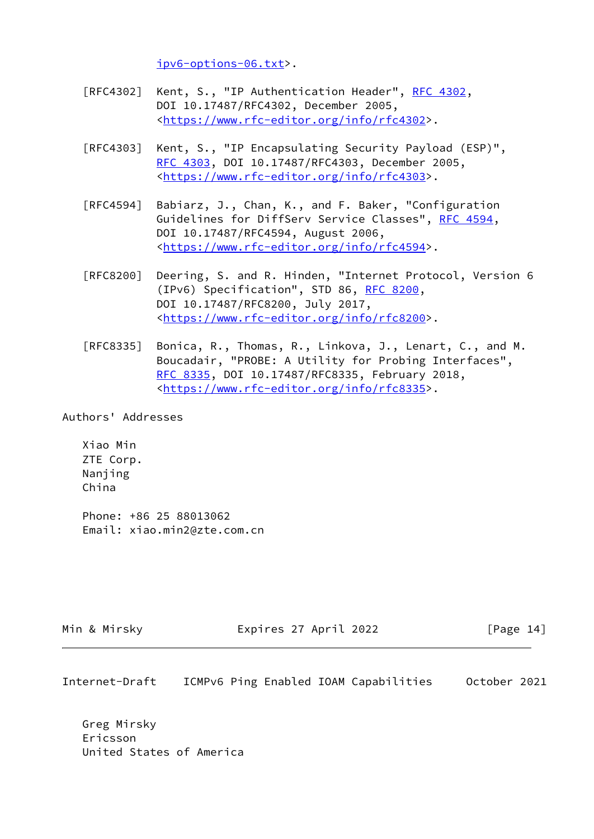[ipv6-options-06.txt](https://www.ietf.org/archive/id/draft-ietf-ippm-ioam-ipv6-options-06.txt)>.

- [RFC4302] Kent, S., "IP Authentication Header", [RFC 4302](https://datatracker.ietf.org/doc/pdf/rfc4302), DOI 10.17487/RFC4302, December 2005, <[https://www.rfc-editor.org/info/rfc4302>](https://www.rfc-editor.org/info/rfc4302).
- [RFC4303] Kent, S., "IP Encapsulating Security Payload (ESP)", [RFC 4303,](https://datatracker.ietf.org/doc/pdf/rfc4303) DOI 10.17487/RFC4303, December 2005, <[https://www.rfc-editor.org/info/rfc4303>](https://www.rfc-editor.org/info/rfc4303).
- [RFC4594] Babiarz, J., Chan, K., and F. Baker, "Configuration Guidelines for DiffServ Service Classes", [RFC 4594](https://datatracker.ietf.org/doc/pdf/rfc4594), DOI 10.17487/RFC4594, August 2006, <[https://www.rfc-editor.org/info/rfc4594>](https://www.rfc-editor.org/info/rfc4594).
- [RFC8200] Deering, S. and R. Hinden, "Internet Protocol, Version 6 (IPv6) Specification", STD 86, [RFC 8200](https://datatracker.ietf.org/doc/pdf/rfc8200), DOI 10.17487/RFC8200, July 2017, <[https://www.rfc-editor.org/info/rfc8200>](https://www.rfc-editor.org/info/rfc8200).
- [RFC8335] Bonica, R., Thomas, R., Linkova, J., Lenart, C., and M. Boucadair, "PROBE: A Utility for Probing Interfaces", [RFC 8335,](https://datatracker.ietf.org/doc/pdf/rfc8335) DOI 10.17487/RFC8335, February 2018, <[https://www.rfc-editor.org/info/rfc8335>](https://www.rfc-editor.org/info/rfc8335).

Authors' Addresses

 Xiao Min ZTE Corp. Nanjing China

 Phone: +86 25 88013062 Email: xiao.min2@zte.com.cn

Min & Mirsky Expires 27 April 2022 [Page 14]

Internet-Draft ICMPv6 Ping Enabled IOAM Capabilities October 2021

 Greg Mirsky Ericsson United States of America